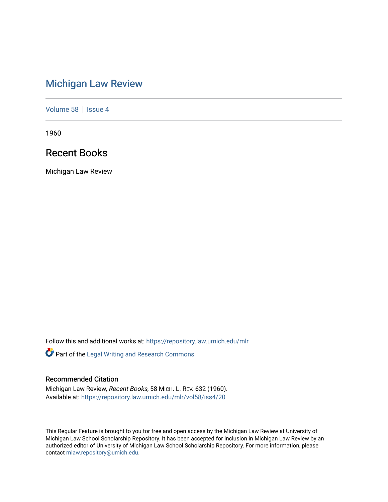# [Michigan Law Review](https://repository.law.umich.edu/mlr)

[Volume 58](https://repository.law.umich.edu/mlr/vol58) | [Issue 4](https://repository.law.umich.edu/mlr/vol58/iss4)

1960

## Recent Books

Michigan Law Review

Follow this and additional works at: [https://repository.law.umich.edu/mlr](https://repository.law.umich.edu/mlr?utm_source=repository.law.umich.edu%2Fmlr%2Fvol58%2Fiss4%2F20&utm_medium=PDF&utm_campaign=PDFCoverPages) 

Part of the [Legal Writing and Research Commons](http://network.bepress.com/hgg/discipline/614?utm_source=repository.law.umich.edu%2Fmlr%2Fvol58%2Fiss4%2F20&utm_medium=PDF&utm_campaign=PDFCoverPages) 

### Recommended Citation

Michigan Law Review, Recent Books, 58 MICH. L. REV. 632 (1960). Available at: [https://repository.law.umich.edu/mlr/vol58/iss4/20](https://repository.law.umich.edu/mlr/vol58/iss4/20?utm_source=repository.law.umich.edu%2Fmlr%2Fvol58%2Fiss4%2F20&utm_medium=PDF&utm_campaign=PDFCoverPages) 

This Regular Feature is brought to you for free and open access by the Michigan Law Review at University of Michigan Law School Scholarship Repository. It has been accepted for inclusion in Michigan Law Review by an authorized editor of University of Michigan Law School Scholarship Repository. For more information, please contact [mlaw.repository@umich.edu](mailto:mlaw.repository@umich.edu).